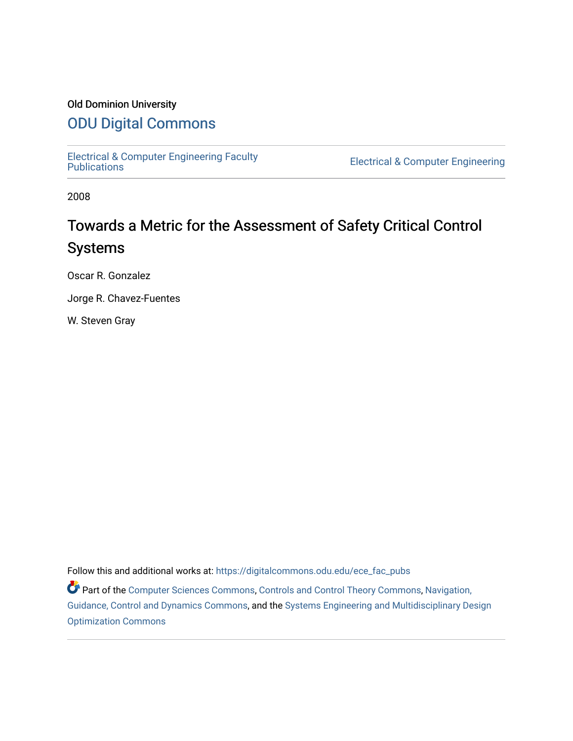### Old Dominion University

### [ODU Digital Commons](https://digitalcommons.odu.edu/)

[Electrical & Computer Engineering Faculty](https://digitalcommons.odu.edu/ece_fac_pubs) 

**Electrical & Computer Engineering** 

2008

# Towards a Metric for the Assessment of Safety Critical Control Systems

Oscar R. Gonzalez

Jorge R. Chavez-Fuentes

W. Steven Gray

Follow this and additional works at: [https://digitalcommons.odu.edu/ece\\_fac\\_pubs](https://digitalcommons.odu.edu/ece_fac_pubs?utm_source=digitalcommons.odu.edu%2Fece_fac_pubs%2F231&utm_medium=PDF&utm_campaign=PDFCoverPages) 

**P** Part of the [Computer Sciences Commons](http://network.bepress.com/hgg/discipline/142?utm_source=digitalcommons.odu.edu%2Fece_fac_pubs%2F231&utm_medium=PDF&utm_campaign=PDFCoverPages), [Controls and Control Theory Commons](http://network.bepress.com/hgg/discipline/269?utm_source=digitalcommons.odu.edu%2Fece_fac_pubs%2F231&utm_medium=PDF&utm_campaign=PDFCoverPages), [Navigation,](http://network.bepress.com/hgg/discipline/226?utm_source=digitalcommons.odu.edu%2Fece_fac_pubs%2F231&utm_medium=PDF&utm_campaign=PDFCoverPages) [Guidance, Control and Dynamics Commons,](http://network.bepress.com/hgg/discipline/226?utm_source=digitalcommons.odu.edu%2Fece_fac_pubs%2F231&utm_medium=PDF&utm_campaign=PDFCoverPages) and the [Systems Engineering and Multidisciplinary Design](http://network.bepress.com/hgg/discipline/221?utm_source=digitalcommons.odu.edu%2Fece_fac_pubs%2F231&utm_medium=PDF&utm_campaign=PDFCoverPages) [Optimization Commons](http://network.bepress.com/hgg/discipline/221?utm_source=digitalcommons.odu.edu%2Fece_fac_pubs%2F231&utm_medium=PDF&utm_campaign=PDFCoverPages)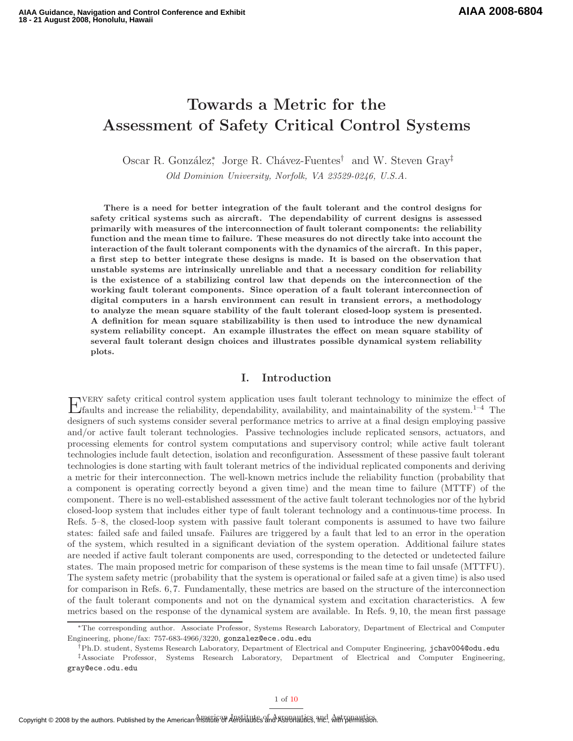## Towards a Metric for the Assessment of Safety Critical Control Systems

Oscar R. González<sup>∗</sup>, Jorge R. Chávez-Fuentes<sup>†</sup> and W. Steven Gray<sup>‡</sup>

Old Dominion University, Norfolk, VA 23529-0246, U.S.A.

There is a need for better integration of the fault tolerant and the control designs for safety critical systems such as aircraft. The dependability of current designs is assessed primarily with measures of the interconnection of fault tolerant components: the reliability function and the mean time to failure. These measures do not directly take into account the interaction of the fault tolerant components with the dynamics of the aircraft. In this paper, a first step to better integrate these designs is made. It is based on the observation that unstable systems are intrinsically unreliable and that a necessary condition for reliability is the existence of a stabilizing control law that depends on the interconnection of the working fault tolerant components. Since operation of a fault tolerant interconnection of digital computers in a harsh environment can result in transient errors, a methodology to analyze the mean square stability of the fault tolerant closed-loop system is presented. A definition for mean square stabilizability is then used to introduce the new dynamical system reliability concept. An example illustrates the effect on mean square stability of several fault tolerant design choices and illustrates possible dynamical system reliability plots.

#### I. Introduction

EVERY safety critical control system application uses fault tolerant technology to minimize the effect of faults and increase the reliability, dependability, availability, and maintainability of the system.<sup>1–4</sup> The faults and increase the reliability, dependability, availability, and maintainability of the system.<sup>1–4</sup> The designers of such systems consider several performance metrics to arrive at a final design employing passive and/or active fault tolerant technologies. Passive technologies include replicated sensors, actuators, and processing elements for control system computations and supervisory control; while active fault tolerant technologies include fault detection, isolation and reconfiguration. Assessment of these passive fault tolerant technologies is done starting with fault tolerant metrics of the individual replicated components and deriving a metric for their interconnection. The well-known metrics include the reliability function (probability that a component is operating correctly beyond a given time) and the mean time to failure (MTTF) of the component. There is no well-established assessment of the active fault tolerant technologies nor of the hybrid closed-loop system that includes either type of fault tolerant technology and a continuous-time process. In Refs. 5–8, the closed-loop system with passive fault tolerant components is assumed to have two failure states: failed safe and failed unsafe. Failures are triggered by a fault that led to an error in the operation of the system, which resulted in a significant deviation of the system operation. Additional failure states are needed if active fault tolerant components are used, corresponding to the detected or undetected failure states. The main proposed metric for comparison of these systems is the mean time to fail unsafe (MTTFU). The system safety metric (probability that the system is operational or failed safe at a given time) is also used for comparison in Refs. 6, 7. Fundamentally, these metrics are based on the structure of the interconnection of the fault tolerant components and not on the dynamical system and excitation characteristics. A few metrics based on the response of the dynamical system are available. In Refs. 9, 10, the mean first passage

<sup>∗</sup>The corresponding author. Associate Professor, Systems Research Laboratory, Department of Electrical and Computer Engineering, phone/fax: 757-683-4966/3220, gonzalez@ece.odu.edu

<sup>†</sup>Ph.D. student, Systems Research Laboratory, Department of Electrical and Computer Engineering, jchav004@odu.edu

<sup>‡</sup>Associate Professor, Systems Research Laboratory, Department of Electrical and Computer Engineering, gray@ece.odu.edu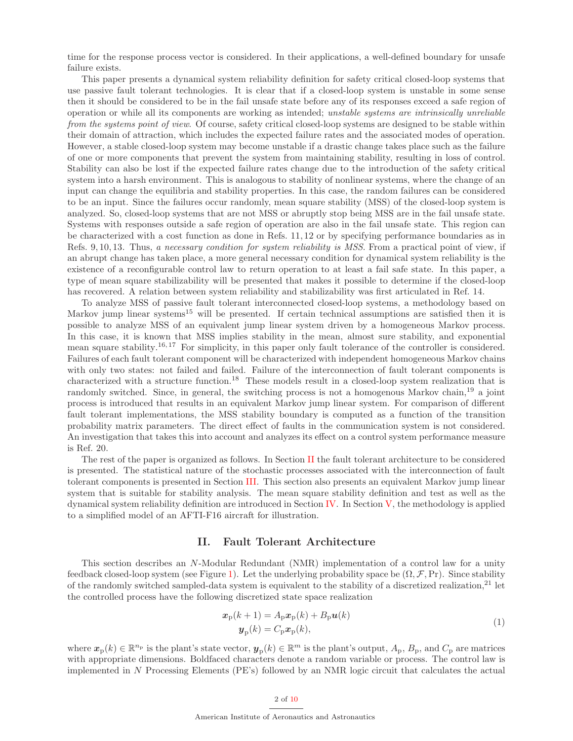time for the response process vector is considered. In their applications, a well-defined boundary for unsafe failure exists.

This paper presents a dynamical system reliability definition for safety critical closed-loop systems that use passive fault tolerant technologies. It is clear that if a closed-loop system is unstable in some sense then it should be considered to be in the fail unsafe state before any of its responses exceed a safe region of operation or while all its components are working as intended; unstable systems are intrinsically unreliable from the systems point of view. Of course, safety critical closed-loop systems are designed to be stable within their domain of attraction, which includes the expected failure rates and the associated modes of operation. However, a stable closed-loop system may become unstable if a drastic change takes place such as the failure of one or more components that prevent the system from maintaining stability, resulting in loss of control. Stability can also be lost if the expected failure rates change due to the introduction of the safety critical system into a harsh environment. This is analogous to stability of nonlinear systems, where the change of an input can change the equilibria and stability properties. In this case, the random failures can be considered to be an input. Since the failures occur randomly, mean square stability (MSS) of the closed-loop system is analyzed. So, closed-loop systems that are not MSS or abruptly stop being MSS are in the fail unsafe state. Systems with responses outside a safe region of operation are also in the fail unsafe state. This region can be characterized with a cost function as done in Refs. 11, 12 or by specifying performance boundaries as in Refs. 9, 10, 13. Thus, a necessary condition for system reliability is MSS. From a practical point of view, if an abrupt change has taken place, a more general necessary condition for dynamical system reliability is the existence of a reconfigurable control law to return operation to at least a fail safe state. In this paper, a type of mean square stabilizability will be presented that makes it possible to determine if the closed-loop has recovered. A relation between system reliability and stabilizability was first articulated in Ref. 14.

To analyze MSS of passive fault tolerant interconnected closed-loop systems, a methodology based on Markov jump linear systems<sup>15</sup> will be presented. If certain technical assumptions are satisfied then it is possible to analyze MSS of an equivalent jump linear system driven by a homogeneous Markov process. In this case, it is known that MSS implies stability in the mean, almost sure stability, and exponential mean square stability.<sup>16, 17</sup> For simplicity, in this paper only fault tolerance of the controller is considered. Failures of each fault tolerant component will be characterized with independent homogeneous Markov chains with only two states: not failed and failed. Failure of the interconnection of fault tolerant components is characterized with a structure function.<sup>18</sup> These models result in a closed-loop system realization that is randomly switched. Since, in general, the switching process is not a homogenous Markov chain,<sup>19</sup> a joint process is introduced that results in an equivalent Markov jump linear system. For comparison of different fault tolerant implementations, the MSS stability boundary is computed as a function of the transition probability matrix parameters. The direct effect of faults in the communication system is not considered. An investigation that takes this into account and analyzes its effect on a control system performance measure is Ref. 20.

The rest of the paper is organized as follows. In Section II the fault tolerant architecture to be considered is presented. The statistical nature of the stochastic processes associated with the interconnection of fault tolerant components is presented in Section III. This section also presents an equivalent Markov jump linear system that is suitable for stability analysis. The mean square stability definition and test as well as the dynamical system reliability definition are introduced in Section IV. In Section V, the methodology is applied to a simplified model of an AFTI-F16 aircraft for illustration.

#### II. Fault Tolerant Architecture

This section describes an N-Modular Redundant (NMR) implementation of a control law for a unity feedback closed-loop system (see Figure 1). Let the underlying probability space be  $(\Omega, \mathcal{F}, Pr)$ . Since stability of the randomly switched sampled-data system is equivalent to the stability of a discretized realization, $21$  let the controlled process have the following discretized state space realization

$$
\begin{aligned} \mathbf{x}_{\mathrm{p}}(k+1) &= A_{\mathrm{p}} \mathbf{x}_{\mathrm{p}}(k) + B_{\mathrm{p}} \mathbf{u}(k) \\ \mathbf{y}_{\mathrm{p}}(k) &= C_{\mathrm{p}} \mathbf{x}_{\mathrm{p}}(k), \end{aligned} \tag{1}
$$

where  $\mathbf{x}_{\mathrm{p}}(k) \in \mathbb{R}^{n_{\mathrm{p}}}$  is the plant's state vector,  $\mathbf{y}_{\mathrm{p}}(k) \in \mathbb{R}^{m}$  is the plant's output,  $A_{\mathrm{p}}$ ,  $B_{\mathrm{p}}$ , and  $C_{\mathrm{p}}$  are matrices with appropriate dimensions. Boldfaced characters denote a random variable or process. The control law is implemented in N Processing Elements (PE's) followed by an NMR logic circuit that calculates the actual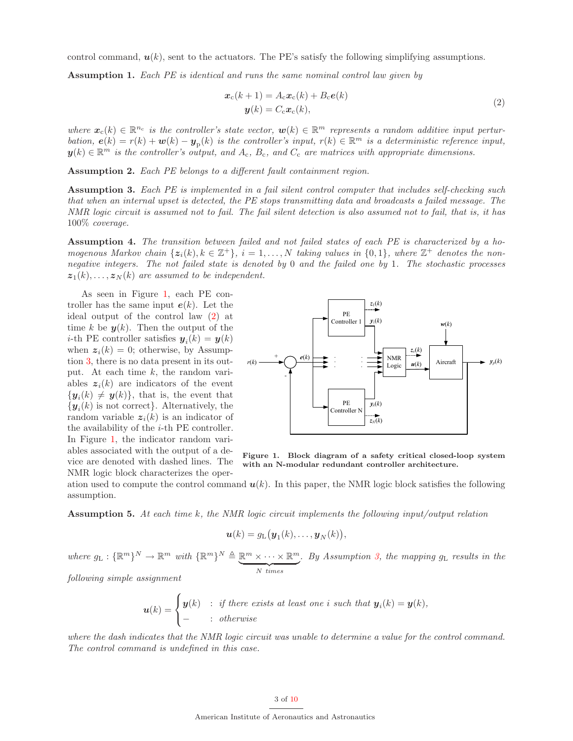control command,  $u(k)$ , sent to the actuators. The PE's satisfy the following simplifying assumptions.

Assumption 1. Each PE is identical and runs the same nominal control law given by

$$
\begin{aligned} \mathbf{x}_{\text{c}}(k+1) &= A_{\text{c}} \mathbf{x}_{\text{c}}(k) + B_{\text{c}} \mathbf{e}(k) \\ \mathbf{y}(k) &= C_{\text{c}} \mathbf{x}_{\text{c}}(k), \end{aligned} \tag{2}
$$

where  $\mathbf{x}_c(k) \in \mathbb{R}^{n_c}$  is the controller's state vector,  $\mathbf{w}(k) \in \mathbb{R}^m$  represents a random additive input perturbation,  $e(k) = r(k) + w(k) - y_p(k)$  is the controller's input,  $r(k) \in \mathbb{R}^m$  is a deterministic reference input,  $y(k) \in \mathbb{R}^m$  is the controller's output, and  $A_c$ ,  $B_c$ , and  $C_c$  are matrices with appropriate dimensions.

Assumption 2. Each PE belongs to a different fault containment region.

Assumption 3. Each PE is implemented in a fail silent control computer that includes self-checking such that when an internal upset is detected, the PE stops transmitting data and broadcasts a failed message. The NMR logic circuit is assumed not to fail. The fail silent detection is also assumed not to fail, that is, it has 100% coverage.

Assumption 4. The transition between failed and not failed states of each PE is characterized by a homogenous Markov chain  $\{z_i(k), k \in \mathbb{Z}^+\}$ ,  $i = 1, ..., N$  taking values in  $\{0, 1\}$ , where  $\mathbb{Z}^+$  denotes the nonnegative integers. The not failed state is denoted by 0 and the failed one by 1. The stochastic processes  $z_1(k), \ldots, z_N(k)$  are assumed to be independent.

As seen in Figure 1, each PE controller has the same input  $e(k)$ . Let the ideal output of the control law (2) at time k be  $y(k)$ . Then the output of the *i*-th PE controller satisfies  $y_i(k) = y(k)$ when  $z_i(k) = 0$ ; otherwise, by Assumption 3, there is no data present in its output. At each time k, the random variables  $z_i(k)$  are indicators of the event  $\{y_i(k) \neq y(k)\}\$ , that is, the event that  ${y_i(k)}$  is not correct}. Alternatively, the random variable  $z<sub>i</sub>(k)$  is an indicator of the availability of the  $i$ -th PE controller. In Figure 1, the indicator random variables associated with the output of a device are denoted with dashed lines. The NMR logic block characterizes the oper-



Figure 1. Block diagram of a safety critical closed-loop system with an N-modular redundant controller architecture.

ation used to compute the control command  $u(k)$ . In this paper, the NMR logic block satisfies the following assumption.

Assumption 5. At each time k, the NMR logic circuit implements the following input/output relation

$$
\boldsymbol{u}(k) = g_{\text{L}}(\boldsymbol{y}_1(k),\ldots,\boldsymbol{y}_N(k)),
$$

where  $g_L: \{\mathbb{R}^m\}^N \to \mathbb{R}^m$  with  $\{\mathbb{R}^m\}^N \triangleq \mathbb{R}^m \times \cdots \times \mathbb{R}^m$ . By Assumption 3, the mapping  $g_L$  results in the  $N$  times

following simple assignment

$$
\mathbf{u}(k) = \begin{cases} \mathbf{y}(k) & \text{if there exists at least one } i \text{ such that } \mathbf{y}_i(k) = \mathbf{y}(k), \\ - & \text{otherwise} \end{cases}
$$

where the dash indicates that the NMR logic circuit was unable to determine a value for the control command. The control command is undefined in this case.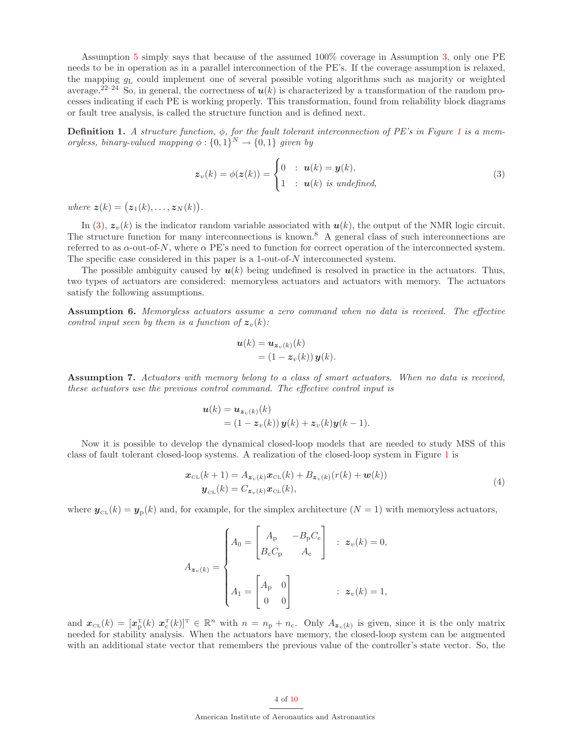Assumption 5 simply says that because of the assumed 100% coverage in Assumption 3, only one PE needs to be in operation as in a parallel interconnection of the PE's. If the coverage assumption is relaxed, the mapping  $g<sub>L</sub>$  could implement one of several possible voting algorithms such as majority or weighted average.<sup>22–24</sup> So, in general, the correctness of  $u(k)$  is characterized by a transformation of the random processes indicating if each PE is working properly. This transformation, found from reliability block diagrams or fault tree analysis, is called the structure function and is defined next.

**Definition 1.** A structure function,  $\phi$ , for the fault tolerant interconnection of PE's in Figure 1 is a memoryless, binary-valued mapping  $\phi: \{0,1\}^N \to \{0,1\}$  given by

$$
\boldsymbol{z}_v(k) = \phi(\boldsymbol{z}(k)) = \begin{cases} 0 & : \boldsymbol{u}(k) = \boldsymbol{y}(k), \\ 1 & : \boldsymbol{u}(k) \text{ is undefined,} \end{cases}
$$
(3)

where  $\mathbf{z}(k) = (z_1(k), \ldots, z_N(k)).$ 

In (3),  $z_v(k)$  is the indicator random variable associated with  $u(k)$ , the output of the NMR logic circuit. The structure function for many interconnections is known.<sup>8</sup> A general class of such interconnections are referred to as  $\alpha$ -out-of-N, where  $\alpha$  PE's need to function for correct operation of the interconnected system. The specific case considered in this paper is a 1-out-of-N interconnected system.

The possible ambiguity caused by  $u(k)$  being undefined is resolved in practice in the actuators. Thus, two types of actuators are considered: memoryless actuators and actuators with memory. The actuators satisfy the following assumptions.

Assumption 6. Memoryless actuators assume a zero command when no data is received. The effective control input seen by them is a function of  $z_v(k)$ :

$$
\mathbf{u}(k) = \mathbf{u}_{\mathbf{z}_v(k)}(k)
$$
  
=  $(1 - \mathbf{z}_v(k)) \mathbf{y}(k).$ 

Assumption 7. Actuators with memory belong to a class of smart actuators. When no data is received, these actuators use the previous control command. The effective control input is

$$
\mathbf{u}(k) = \mathbf{u}_{\mathbf{z}_v(k)}(k)
$$
  
=  $(1 - \mathbf{z}_v(k)) \mathbf{y}(k) + \mathbf{z}_v(k) \mathbf{y}(k-1).$ 

Now it is possible to develop the dynamical closed-loop models that are needed to study MSS of this class of fault tolerant closed-loop systems. A realization of the closed-loop system in Figure 1 is

$$
\begin{aligned} \boldsymbol{x}_{\scriptscriptstyle{\text{CL}}}(k+1) &= A_{\boldsymbol{z}_{\scriptscriptstyle{v}}(k)} \boldsymbol{x}_{\scriptscriptstyle{\text{CL}}}(k) + B_{\boldsymbol{z}_{\scriptscriptstyle{v}}(k)}(r(k) + \boldsymbol{w}(k)) \\ \boldsymbol{y}_{\scriptscriptstyle{\text{CL}}}(k) &= C_{\boldsymbol{z}_{\scriptscriptstyle{v}}(k)} \boldsymbol{x}_{\scriptscriptstyle{\text{CL}}}(k), \end{aligned} \tag{4}
$$

where  $y_{\text{CL}}(k) = y_{\text{p}}(k)$  and, for example, for the simplex architecture  $(N = 1)$  with memoryless actuators,

$$
A_{\mathbf{z}_v(k)} = \begin{cases} A_0 = \begin{bmatrix} A_{\rm p} & -B_{\rm p}C_{\rm c} \\ B_{\rm c}C_{\rm p} & A_{\rm c} \end{bmatrix} & : \mathbf{z}_v(k) = 0, \\ A_1 = \begin{bmatrix} A_{\rm p} & 0 \\ 0 & 0 \end{bmatrix} & : \mathbf{z}_v(k) = 1, \end{cases}
$$

and  $\mathbf{x}_{\text{CL}}(k) = [\mathbf{x}_{\text{p}}^{\text{T}}(k) \ \mathbf{x}_{\text{c}}^{\text{T}}(k)]^{\text{T}} \in \mathbb{R}^{n}$  with  $n = n_{\text{p}} + n_{\text{c}}$ . Only  $A_{\mathbf{z}_{v}(k)}$  is given, since it is the only matrix needed for stability analysis. When the actuators have memory, the closed-loop system can be augmented with an additional state vector that remembers the previous value of the controller's state vector. So, the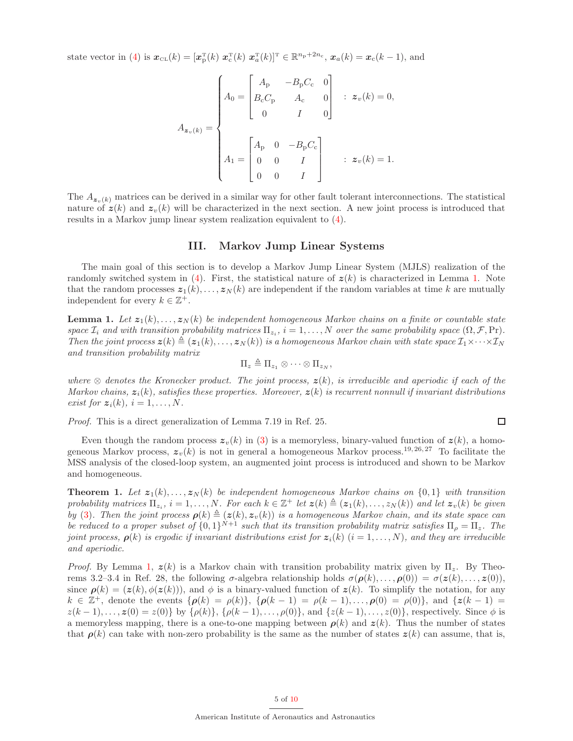state vector in (4) is  $\mathbf{x}_{\text{CL}}(k) = [\mathbf{x}_{\text{p}}^{\text{T}}(k) \ \mathbf{x}_{\text{c}}^{\text{T}}(k) \ \mathbf{x}_{\text{a}}^{\text{T}}(k)]^{\text{T}} \in \mathbb{R}^{n_{\text{p}}+2n_{\text{c}}}, \ \mathbf{x}_{\text{a}}(k) = \mathbf{x}_{\text{c}}(k-1), \text{and}$ 

$$
A_{\mathbf{z}_v(k)} = \begin{cases} A_0 = \begin{bmatrix} A_p & -B_p C_c & 0 \\ B_c C_p & A_c & 0 \\ 0 & I & 0 \end{bmatrix} & : \mathbf{z}_v(k) = 0, \\ A_1 = \begin{bmatrix} A_p & 0 & -B_p C_c \\ 0 & 0 & I \\ 0 & 0 & I \end{bmatrix} & : \mathbf{z}_v(k) = 1. \end{cases}
$$

The  $A_{z_n(k)}$  matrices can be derived in a similar way for other fault tolerant interconnections. The statistical nature of  $z(k)$  and  $z_v(k)$  will be characterized in the next section. A new joint process is introduced that results in a Markov jump linear system realization equivalent to (4).

#### III. Markov Jump Linear Systems

The main goal of this section is to develop a Markov Jump Linear System (MJLS) realization of the randomly switched system in (4). First, the statistical nature of  $z(k)$  is characterized in Lemma 1. Note that the random processes  $z_1(k), \ldots, z_N(k)$  are independent if the random variables at time k are mutually independent for every  $k \in \mathbb{Z}^+$ .

**Lemma 1.** Let  $z_1(k), \ldots, z_N(k)$  be independent homogeneous Markov chains on a finite or countable state space  $\mathcal{I}_i$  and with transition probability matrices  $\Pi_{z_i}$ ,  $i = 1, \ldots, N$  over the same probability space  $(\Omega, \mathcal{F}, \Pr)$ . Then the joint process  $\mathbf{z}(k) \triangleq (z_1(k), \ldots, z_N(k))$  is a homogeneous Markov chain with state space  $\mathcal{I}_1 \times \cdots \times \mathcal{I}_N$ and transition probability matrix

$$
\Pi_z \triangleq \Pi_{z_1} \otimes \cdots \otimes \Pi_{z_N},
$$

where  $\otimes$  denotes the Kronecker product. The joint process,  $z(k)$ , is irreducible and aperiodic if each of the Markov chains,  $z_i(k)$ , satisfies these properties. Moreover,  $z(k)$  is recurrent nonnull if invariant distributions exist for  $z_i(k)$ ,  $i = 1, \ldots, N$ .

 $\Box$ 

Proof. This is a direct generalization of Lemma 7.19 in Ref. 25.

Even though the random process  $z_v(k)$  in (3) is a memoryless, binary-valued function of  $z(k)$ , a homogeneous Markov process,  $z_v(k)$  is not in general a homogeneous Markov process.<sup>19, 26, 27</sup> To facilitate the MSS analysis of the closed-loop system, an augmented joint process is introduced and shown to be Markov and homogeneous.

**Theorem 1.** Let  $z_1(k), \ldots, z_N(k)$  be independent homogeneous Markov chains on  $\{0,1\}$  with transition probability matrices  $\Pi_{z_i}$ ,  $i = 1, ..., N$ . For each  $k \in \mathbb{Z}^+$  let  $\mathbf{z}(k) \triangleq (\mathbf{z}_1(k), ..., \mathbf{z}_N(k))$  and let  $\mathbf{z}_v(k)$  be given by (3). Then the joint process  $\rho(k) \triangleq (z(k), z_v(k))$  is a homogeneous Markov chain, and its state space can be reduced to a proper subset of  $\{0,1\}^{N+1}$  such that its transition probability matrix satisfies  $\Pi_{\rho} = \Pi_{z}$ . The joint process,  $\rho(k)$  is ergodic if invariant distributions exist for  $z_i(k)$   $(i = 1, \ldots, N)$ , and they are irreducible and aperiodic.

*Proof.* By Lemma 1,  $z(k)$  is a Markov chain with transition probability matrix given by  $\Pi_z$ . By Theorems 3.2–3.4 in Ref. 28, the following σ-algebra relationship holds  $\sigma(\rho(k), \ldots, \rho(0)) = \sigma(z(k), \ldots, z(0))$ . since  $\rho(k) = (z(k), \phi(z(k)))$ , and  $\phi$  is a binary-valued function of  $z(k)$ . To simplify the notation, for any  $k \in \mathbb{Z}^+$ , denote the events  $\{\boldsymbol{\rho}(k) = \rho(k)\}\$ ,  $\{\boldsymbol{\rho}(k-1) = \rho(k-1), \ldots, \boldsymbol{\rho}(0) = \rho(0)\}\$ , and  $\{z(k-1) =$  $z(k-1), \ldots, z(0) = z(0)$  by  $\{\rho(k)\}, \{\rho(k-1), \ldots, \rho(0)\}\$ , and  $\{z(k-1), \ldots, z(0)\}\$ , respectively. Since  $\phi$  is a memoryless mapping, there is a one-to-one mapping between  $\rho(k)$  and  $z(k)$ . Thus the number of states that  $\rho(k)$  can take with non-zero probability is the same as the number of states  $z(k)$  can assume, that is,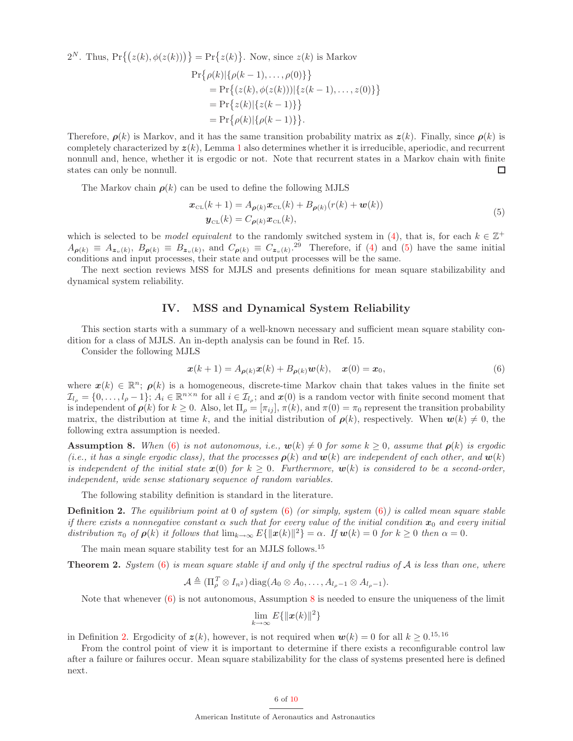$2^N$ . Thus,  $Pr\{(z(k), \phi(z(k)))\} = Pr\{z(k)\}$ . Now, since  $z(k)$  is Markov

$$
\Pr\{\rho(k)|\{\rho(k-1),\ldots,\rho(0)\}\} \\
= \Pr\{(z(k),\phi(z(k)))|\{z(k-1),\ldots,z(0)\}\} \\
= \Pr\{z(k)|\{z(k-1)\}\} \\
= \Pr\{\rho(k)|\{\rho(k-1)\}\}.
$$

Therefore,  $\rho(k)$  is Markov, and it has the same transition probability matrix as  $z(k)$ . Finally, since  $\rho(k)$  is completely characterized by  $z(k)$ , Lemma 1 also determines whether it is irreducible, aperiodic, and recurrent nonnull and, hence, whether it is ergodic or not. Note that recurrent states in a Markov chain with finite states can only be nonnull. П

The Markov chain  $\rho(k)$  can be used to define the following MJLS

$$
\begin{aligned} \boldsymbol{x}_{\scriptscriptstyle{\text{CL}}}(k+1) &= A_{\boldsymbol{\rho}(k)} \boldsymbol{x}_{\scriptscriptstyle{\text{CL}}}(k) + B_{\boldsymbol{\rho}(k)} (r(k) + \boldsymbol{w}(k)) \\ \boldsymbol{y}_{\scriptscriptstyle{\text{CL}}}(k) &= C_{\boldsymbol{\rho}(k)} \boldsymbol{x}_{\scriptscriptstyle{\text{CL}}}(k), \end{aligned} \tag{5}
$$

which is selected to be *model equivalent* to the randomly switched system in (4), that is, for each  $k \in \mathbb{Z}^+$  $A_{\boldsymbol{\rho}(k)} \equiv A_{\boldsymbol{z}_v(k)}, B_{\boldsymbol{\rho}(k)} \equiv B_{\boldsymbol{z}_v(k)}, \text{ and } C_{\boldsymbol{\rho}(k)} \equiv C_{\boldsymbol{z}_v(k)}$ .<sup>29</sup> Therefore, if (4) and (5) have the same initial conditions and input processes, their state and output processes will be the same.

The next section reviews MSS for MJLS and presents definitions for mean square stabilizability and dynamical system reliability.

#### IV. MSS and Dynamical System Reliability

This section starts with a summary of a well-known necessary and sufficient mean square stability condition for a class of MJLS. An in-depth analysis can be found in Ref. 15.

Consider the following MJLS

$$
x(k+1) = A_{\rho(k)}x(k) + B_{\rho(k)}w(k), \quad x(0) = x_0,
$$
\n(6)

where  $x(k) \in \mathbb{R}^n$ ;  $\rho(k)$  is a homogeneous, discrete-time Markov chain that takes values in the finite set  $\mathcal{I}_{l_{\rho}} = \{0, \ldots, l_{\rho} - 1\}; A_i \in \mathbb{R}^{n \times n}$  for all  $i \in \mathcal{I}_{l_{\rho}}$ ; and  $\boldsymbol{x}(0)$  is a random vector with finite second moment that is independent of  $\rho(k)$  for  $k \geq 0$ . Also, let  $\Pi_{\rho} = [\pi_{ij}]$ ,  $\pi(k)$ , and  $\pi(0) = \pi_0$  represent the transition probability matrix, the distribution at time k, and the initial distribution of  $\rho(k)$ , respectively. When  $w(k) \neq 0$ , the following extra assumption is needed.

**Assumption 8.** When (6) is not autonomous, i.e.,  $w(k) \neq 0$  for some  $k \geq 0$ , assume that  $\rho(k)$  is ergodic (i.e., it has a single ergodic class), that the processes  $\rho(k)$  and  $w(k)$  are independent of each other, and  $w(k)$ is independent of the initial state  $x(0)$  for  $k \geq 0$ . Furthermore,  $w(k)$  is considered to be a second-order, independent, wide sense stationary sequence of random variables.

The following stability definition is standard in the literature.

**Definition 2.** The equilibrium point at 0 of system  $(6)$  (or simply, system  $(6)$ ) is called mean square stable if there exists a nonnegative constant  $\alpha$  such that for every value of the initial condition  $x_0$  and every initial distribution  $\pi_0$  of  $\rho(k)$  it follows that  $\lim_{k\to\infty} E\{\|\mathbf{x}(k)\|^2\} = \alpha$ . If  $\mathbf{w}(k) = 0$  for  $k \geq 0$  then  $\alpha = 0$ .

The main mean square stability test for an MJLS follows.<sup>15</sup>

**Theorem 2.** System  $(6)$  is mean square stable if and only if the spectral radius of A is less than one, where

$$
\mathcal{A} \triangleq (\Pi_{\rho}^T \otimes I_{n^2}) \operatorname{diag}(A_0 \otimes A_0, \ldots, A_{l_{\rho}-1} \otimes A_{l_{\rho}-1}).
$$

Note that whenever  $(6)$  is not autonomous, Assumption 8 is needed to ensure the uniqueness of the limit

$$
\lim_{k\to\infty} E\{\|\boldsymbol{x}(k)\|^2\}
$$

in Definition 2. Ergodicity of  $z(k)$ , however, is not required when  $w(k) = 0$  for all  $k \ge 0.15, 16$ 

From the control point of view it is important to determine if there exists a reconfigurable control law after a failure or failures occur. Mean square stabilizability for the class of systems presented here is defined next.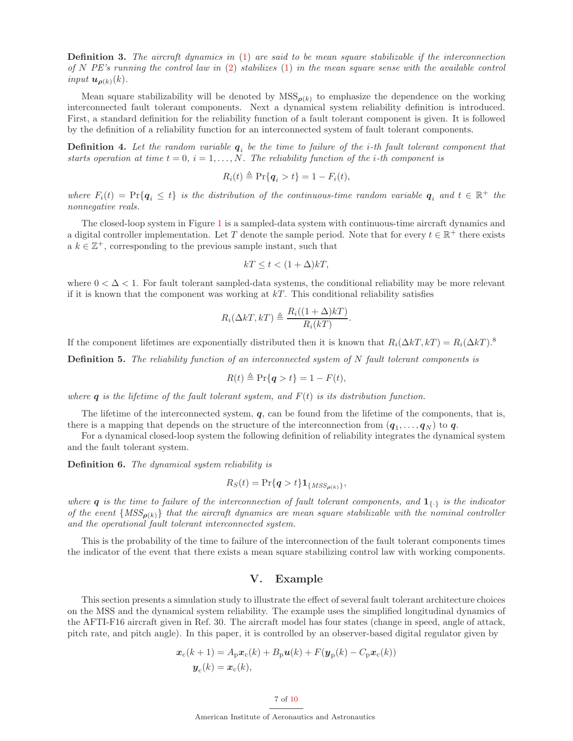Definition 3. The aircraft dynamics in (1) are said to be mean square stabilizable if the interconnection of N PE's running the control law in (2) stabilizes (1) in the mean square sense with the available control input  $\mathbf{u}_{\boldsymbol{\rho}(k)}(k)$ .

Mean square stabilizability will be denoted by  $MSS_{\rho(k)}$  to emphasize the dependence on the working interconnected fault tolerant components. Next a dynamical system reliability definition is introduced. First, a standard definition for the reliability function of a fault tolerant component is given. It is followed by the definition of a reliability function for an interconnected system of fault tolerant components.

**Definition 4.** Let the random variable  $q_i$  be the time to failure of the *i*-th fault tolerant component that starts operation at time  $t = 0$ ,  $i = 1, ..., N$ . The reliability function of the *i*-th component is

$$
R_i(t) \triangleq \Pr\{q_i > t\} = 1 - F_i(t),
$$

where  $F_i(t) = Pr\{q_i \leq t\}$  is the distribution of the continuous-time random variable  $q_i$  and  $t \in \mathbb{R}^+$  the nonnegative reals.

The closed-loop system in Figure 1 is a sampled-data system with continuous-time aircraft dynamics and a digital controller implementation. Let T denote the sample period. Note that for every  $t \in \mathbb{R}^+$  there exists a  $k \in \mathbb{Z}^+$ , corresponding to the previous sample instant, such that

$$
kT \le t < (1 + \Delta)kT,
$$

where  $0 < \Delta < 1$ . For fault tolerant sampled-data systems, the conditional reliability may be more relevant if it is known that the component was working at  $kT$ . This conditional reliability satisfies

$$
R_i(\Delta kT, kT) \triangleq \frac{R_i((1+\Delta)kT)}{R_i(kT)}.
$$

If the component lifetimes are exponentially distributed then it is known that  $R_i(\Delta kT, kT) = R_i(\Delta kT)^8$ .

**Definition 5.** The reliability function of an interconnected system of  $N$  fault tolerant components is

$$
R(t) \triangleq \Pr\{q > t\} = 1 - F(t),
$$

where  $q$  is the lifetime of the fault tolerant system, and  $F(t)$  is its distribution function.

The lifetime of the interconnected system,  $q$ , can be found from the lifetime of the components, that is, there is a mapping that depends on the structure of the interconnection from  $(q_1, \ldots, q_N)$  to  $q$ .

For a dynamical closed-loop system the following definition of reliability integrates the dynamical system and the fault tolerant system.

Definition 6. The dynamical system reliability is

$$
R_S(t) = \Pr\{q > t\} \mathbf{1}_{\{MSS_{\rho(k)}\}},
$$

where q is the time to failure of the interconnection of fault tolerant components, and  $1_{\{.\}}$  is the indicator of the event  $\{MSS_{\rho(k)}\}$  that the aircraft dynamics are mean square stabilizable with the nominal controller and the operational fault tolerant interconnected system.

This is the probability of the time to failure of the interconnection of the fault tolerant components times the indicator of the event that there exists a mean square stabilizing control law with working components.

#### V. Example

This section presents a simulation study to illustrate the effect of several fault tolerant architecture choices on the MSS and the dynamical system reliability. The example uses the simplified longitudinal dynamics of the AFTI-F16 aircraft given in Ref. 30. The aircraft model has four states (change in speed, angle of attack, pitch rate, and pitch angle). In this paper, it is controlled by an observer-based digital regulator given by

$$
\boldsymbol{x}_{\rm c}(k+1) = A_{\rm p} \boldsymbol{x}_{\rm c}(k) + B_{\rm p} \boldsymbol{u}(k) + F(\boldsymbol{y}_{\rm p}(k) - C_{\rm p} \boldsymbol{x}_{\rm c}(k))
$$

$$
\boldsymbol{y}_{\rm c}(k) = \boldsymbol{x}_{\rm c}(k),
$$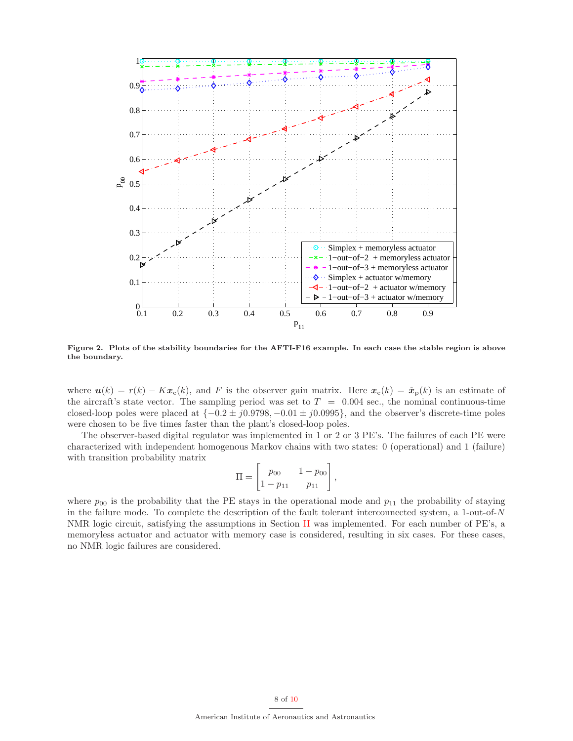

Figure 2. Plots of the stability boundaries for the AFTI-F16 example. In each case the stable region is above the boundary.

where  $u(k) = r(k) - Kx_c(k)$ , and F is the observer gain matrix. Here  $x_c(k) = \hat{x}_p(k)$  is an estimate of the aircraft's state vector. The sampling period was set to  $T = 0.004$  sec., the nominal continuous-time closed-loop poles were placed at  $\{-0.2 \pm j0.9798, -0.01 \pm j0.0995\}$ , and the observer's discrete-time poles were chosen to be five times faster than the plant's closed-loop poles.

The observer-based digital regulator was implemented in 1 or 2 or 3 PE's. The failures of each PE were characterized with independent homogenous Markov chains with two states: 0 (operational) and 1 (failure) with transition probability matrix

$$
\Pi = \begin{bmatrix} p_{00} & 1 - p_{00} \\ 1 - p_{11} & p_{11} \end{bmatrix},
$$

where  $p_{00}$  is the probability that the PE stays in the operational mode and  $p_{11}$  the probability of staying in the failure mode. To complete the description of the fault tolerant interconnected system, a 1-out-of-N NMR logic circuit, satisfying the assumptions in Section II was implemented. For each number of PE's, a memoryless actuator and actuator with memory case is considered, resulting in six cases. For these cases, no NMR logic failures are considered.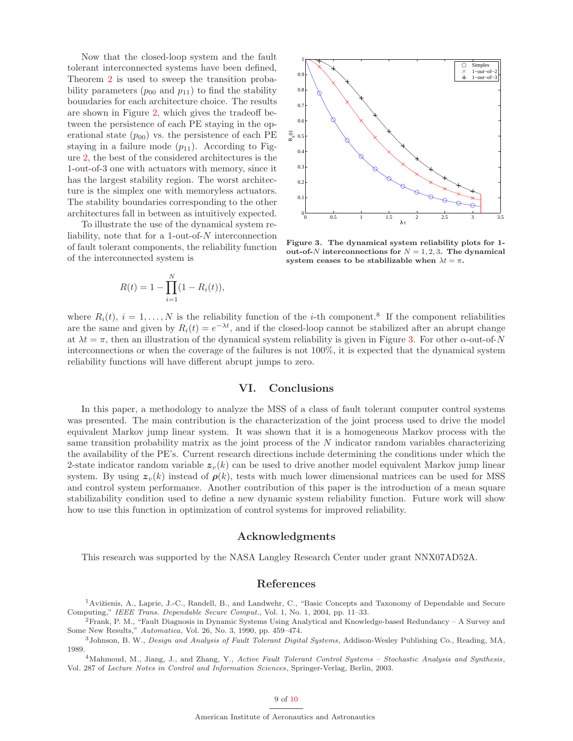Now that the closed-loop system and the fault tolerant interconnected systems have been defined, Theorem 2 is used to sweep the transition probability parameters  $(p_{00}$  and  $p_{11})$  to find the stability boundaries for each architecture choice. The results are shown in Figure 2, which gives the tradeoff between the persistence of each PE staying in the operational state  $(p_{00})$  vs. the persistence of each PE staying in a failure mode  $(p_{11})$ . According to Figure 2, the best of the considered architectures is the 1-out-of-3 one with actuators with memory, since it has the largest stability region. The worst architecture is the simplex one with memoryless actuators. The stability boundaries corresponding to the other architectures fall in between as intuitively expected.

To illustrate the use of the dynamical system reliability, note that for a 1-out-of- $N$  interconnection of fault tolerant components, the reliability function of the interconnected system is

$$
R(t) = 1 - \prod_{i=1}^{N} (1 - R_i(t)),
$$



Figure 3. The dynamical system reliability plots for 1 out-of-N interconnections for  $N = 1, 2, 3$ . The dynamical system ceases to be stabilizable when  $\lambda t = \pi$ .

where  $R_i(t)$ ,  $i = 1, ..., N$  is the reliability function of the *i*-th component.<sup>8</sup> If the component reliabilities are the same and given by  $R_i(t) = e^{-\lambda t}$ , and if the closed-loop cannot be stabilized after an abrupt change at  $\lambda t = \pi$ , then an illustration of the dynamical system reliability is given in Figure 3. For other  $\alpha$ -out-of-N interconnections or when the coverage of the failures is not 100%, it is expected that the dynamical system reliability functions will have different abrupt jumps to zero.

#### VI. Conclusions

In this paper, a methodology to analyze the MSS of a class of fault tolerant computer control systems was presented. The main contribution is the characterization of the joint process used to drive the model equivalent Markov jump linear system. It was shown that it is a homogeneous Markov process with the same transition probability matrix as the joint process of the  $N$  indicator random variables characterizing the availability of the PE's. Current research directions include determining the conditions under which the 2-state indicator random variable  $z_v(k)$  can be used to drive another model equivalent Markov jump linear system. By using  $z_n(k)$  instead of  $\rho(k)$ , tests with much lower dimensional matrices can be used for MSS and control system performance. Another contribution of this paper is the introduction of a mean square stabilizability condition used to define a new dynamic system reliability function. Future work will show how to use this function in optimization of control systems for improved reliability.

#### Acknowledgments

This research was supported by the NASA Langley Research Center under grant NNX07AD52A.

#### References

<sup>4</sup>Mahmoud, M., Jiang, J., and Zhang, Y., Active Fault Tolerant Control Systems – Stochastic Analysis and Synthesis, Vol. 287 of Lecture Notes in Control and Information Sciences, Springer-Verlag, Berlin, 2003.

<sup>&</sup>lt;sup>1</sup> Avižienis, A., Laprie, J.-C., Randell, B., and Landwehr, C., "Basic Concepts and Taxonomy of Dependable and Secure Computing," IEEE Trans. Dependable Secure Comput., Vol. 1, No. 1, 2004, pp. 11–33.

<sup>2</sup>Frank, P. M., "Fault Diagnosis in Dynamic Systems Using Analytical and Knowledge-based Redundancy – A Survey and Some New Results," Automatica, Vol. 26, No. 3, 1990, pp. 459–474.

<sup>3</sup>Johnson, B. W., Design and Analysis of Fault Tolerant Digital Systems, Addison-Wesley Publishing Co., Reading, MA, 1989.